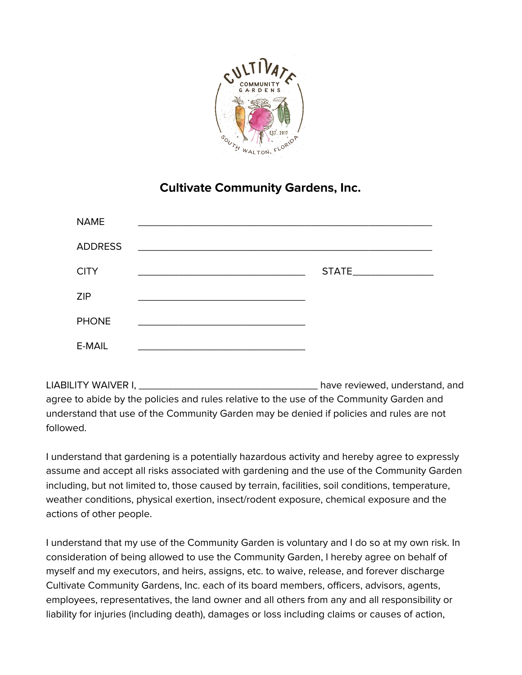

## **Cultivate Community Gardens, Inc.**

| <b>NAME</b>    |                                                                                                                      |  |
|----------------|----------------------------------------------------------------------------------------------------------------------|--|
| <b>ADDRESS</b> | <u> 2000 - 2000 - 2000 - 2000 - 2000 - 2000 - 2000 - 2000 - 2000 - 2000 - 2000 - 2000 - 2000 - 2000 - 2000 - 200</u> |  |
| <b>CITY</b>    |                                                                                                                      |  |
| <b>ZIP</b>     |                                                                                                                      |  |
| <b>PHONE</b>   |                                                                                                                      |  |
| E-MAIL         |                                                                                                                      |  |

LIABILITY WAIVER I, \_\_\_\_\_\_\_\_\_\_\_\_\_\_\_\_\_\_\_\_\_\_\_\_\_\_\_\_\_\_\_ have reviewed, understand, and agree to abide by the policies and rules relative to the use of the Community Garden and understand that use of the Community Garden may be denied if policies and rules are not followed.

I understand that gardening is a potentially hazardous activity and hereby agree to expressly assume and accept all risks associated with gardening and the use of the Community Garden including, but not limited to, those caused by terrain, facilities, soil conditions, temperature, weather conditions, physical exertion, insect/rodent exposure, chemical exposure and the actions of other people.

I understand that my use of the Community Garden is voluntary and I do so at my own risk. In consideration of being allowed to use the Community Garden, I hereby agree on behalf of myself and my executors, and heirs, assigns, etc. to waive, release, and forever discharge Cultivate Community Gardens, Inc. each of its board members, officers, advisors, agents, employees, representatives, the land owner and all others from any and all responsibility or liability for injuries (including death), damages or loss including claims or causes of action,